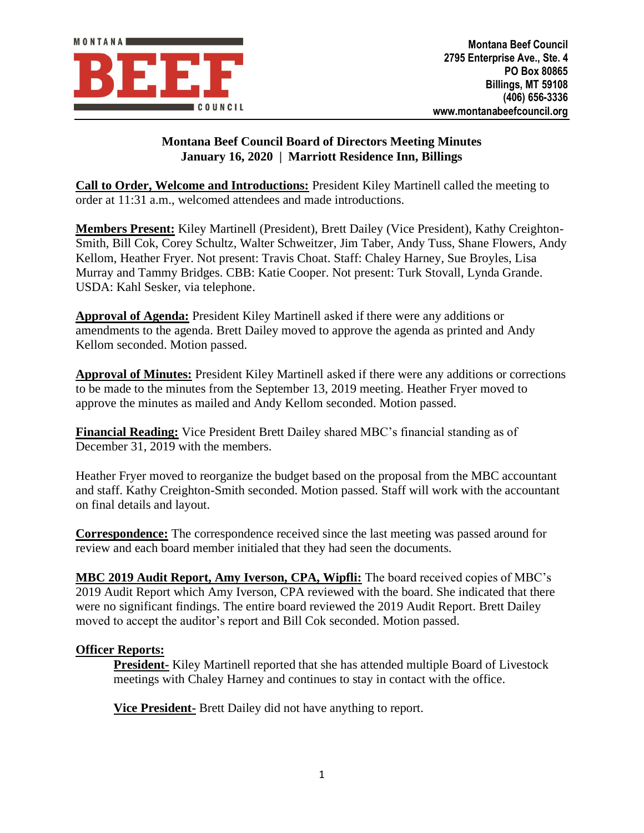

## **Montana Beef Council Board of Directors Meeting Minutes January 16, 2020 | Marriott Residence Inn, Billings**

**Call to Order, Welcome and Introductions:** President Kiley Martinell called the meeting to order at 11:31 a.m., welcomed attendees and made introductions.

**Members Present:** Kiley Martinell (President), Brett Dailey (Vice President), Kathy Creighton-Smith, Bill Cok, Corey Schultz, Walter Schweitzer, Jim Taber, Andy Tuss, Shane Flowers, Andy Kellom, Heather Fryer. Not present: Travis Choat. Staff: Chaley Harney, Sue Broyles, Lisa Murray and Tammy Bridges. CBB: Katie Cooper. Not present: Turk Stovall, Lynda Grande. USDA: Kahl Sesker, via telephone.

**Approval of Agenda:** President Kiley Martinell asked if there were any additions or amendments to the agenda. Brett Dailey moved to approve the agenda as printed and Andy Kellom seconded. Motion passed.

**Approval of Minutes:** President Kiley Martinell asked if there were any additions or corrections to be made to the minutes from the September 13, 2019 meeting. Heather Fryer moved to approve the minutes as mailed and Andy Kellom seconded. Motion passed.

**Financial Reading:** Vice President Brett Dailey shared MBC's financial standing as of December 31, 2019 with the members.

Heather Fryer moved to reorganize the budget based on the proposal from the MBC accountant and staff. Kathy Creighton-Smith seconded. Motion passed. Staff will work with the accountant on final details and layout.

**Correspondence:** The correspondence received since the last meeting was passed around for review and each board member initialed that they had seen the documents.

**MBC 2019 Audit Report, Amy Iverson, CPA, Wipfli:** The board received copies of MBC's 2019 Audit Report which Amy Iverson, CPA reviewed with the board. She indicated that there were no significant findings. The entire board reviewed the 2019 Audit Report. Brett Dailey moved to accept the auditor's report and Bill Cok seconded. Motion passed.

## **Officer Reports:**

**President-** Kiley Martinell reported that she has attended multiple Board of Livestock meetings with Chaley Harney and continues to stay in contact with the office.

**Vice President-** Brett Dailey did not have anything to report.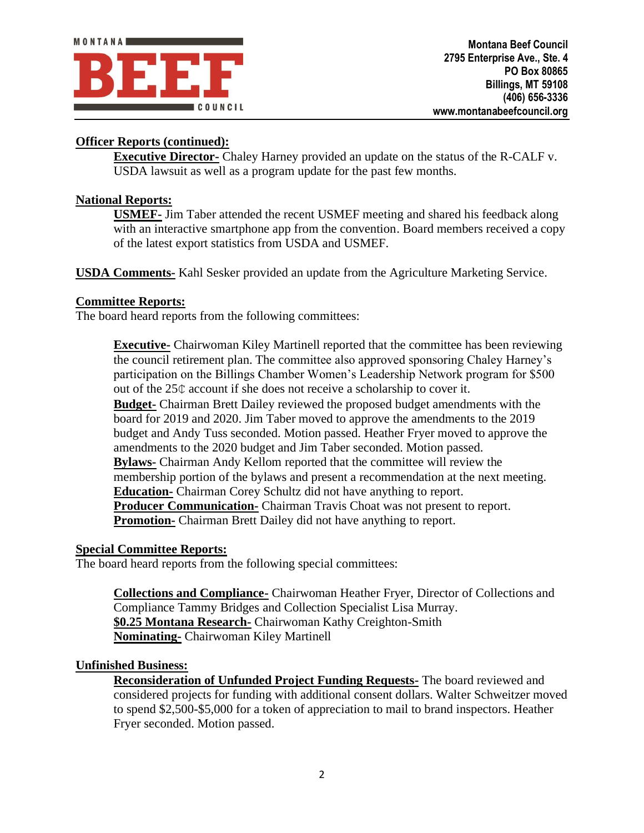# **Officer Reports (continued):**

**Executive Director-** Chaley Harney provided an update on the status of the R-CALF v. USDA lawsuit as well as a program update for the past few months.

## **National Reports:**

**USMEF-** Jim Taber attended the recent USMEF meeting and shared his feedback along with an interactive smartphone app from the convention. Board members received a copy of the latest export statistics from USDA and USMEF.

**USDA Comments-** Kahl Sesker provided an update from the Agriculture Marketing Service.

#### **Committee Reports:**

The board heard reports from the following committees:

**Executive-** Chairwoman Kiley Martinell reported that the committee has been reviewing the council retirement plan. The committee also approved sponsoring Chaley Harney's participation on the Billings Chamber Women's Leadership Network program for \$500 out of the 25¢ account if she does not receive a scholarship to cover it.

**Budget-** Chairman Brett Dailey reviewed the proposed budget amendments with the board for 2019 and 2020. Jim Taber moved to approve the amendments to the 2019 budget and Andy Tuss seconded. Motion passed. Heather Fryer moved to approve the amendments to the 2020 budget and Jim Taber seconded. Motion passed. **Bylaws-** Chairman Andy Kellom reported that the committee will review the membership portion of the bylaws and present a recommendation at the next meeting. **Education-** Chairman Corey Schultz did not have anything to report. **Producer Communication-** Chairman Travis Choat was not present to report. **Promotion-** Chairman Brett Dailey did not have anything to report.

#### **Special Committee Reports:**

The board heard reports from the following special committees:

**Collections and Compliance-** Chairwoman Heather Fryer, Director of Collections and Compliance Tammy Bridges and Collection Specialist Lisa Murray. **\$0.25 Montana Research-** Chairwoman Kathy Creighton-Smith **Nominating-** Chairwoman Kiley Martinell

## **Unfinished Business:**

**Reconsideration of Unfunded Project Funding Requests-** The board reviewed and considered projects for funding with additional consent dollars. Walter Schweitzer moved to spend \$2,500-\$5,000 for a token of appreciation to mail to brand inspectors. Heather Fryer seconded. Motion passed.